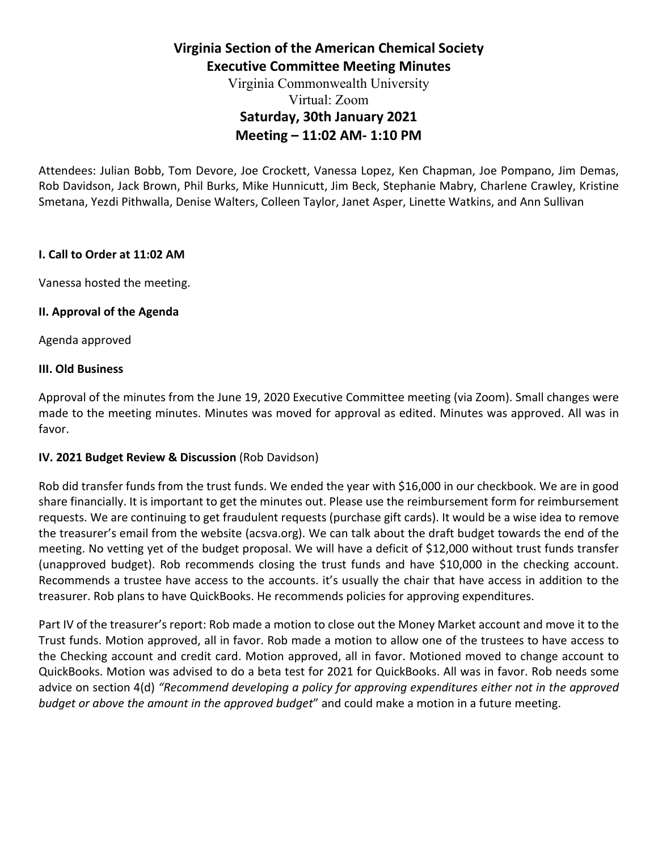# **Virginia Section of the American Chemical Society Executive Committee Meeting Minutes**

## Virginia Commonwealth University Virtual: Zoom **Saturday, 30th January 2021 Meeting – 11:02 AM- 1:10 PM**

Attendees: Julian Bobb, Tom Devore, Joe Crockett, Vanessa Lopez, Ken Chapman, Joe Pompano, Jim Demas, Rob Davidson, Jack Brown, Phil Burks, Mike Hunnicutt, Jim Beck, Stephanie Mabry, Charlene Crawley, Kristine Smetana, Yezdi Pithwalla, Denise Walters, Colleen Taylor, Janet Asper, Linette Watkins, and Ann Sullivan

## **I. Call to Order at 11:02 AM**

Vanessa hosted the meeting.

## **II. Approval of the Agenda**

Agenda approved

### **III. Old Business**

Approval of the minutes from the June 19, 2020 Executive Committee meeting (via Zoom). Small changes were made to the meeting minutes. Minutes was moved for approval as edited. Minutes was approved. All was in favor.

## **IV. 2021 Budget Review & Discussion (Rob Davidson)**

Rob did transfer funds from the trust funds. We ended the year with \$16,000 in our checkbook. We are in good share financially. It is important to get the minutes out. Please use the reimbursement form for reimbursement requests. We are continuing to get fraudulent requests (purchase gift cards). It would be a wise idea to remove the treasurer's email from the website (acsva.org). We can talk about the draft budget towards the end of the meeting. No vetting yet of the budget proposal. We will have a deficit of \$12,000 without trust funds transfer (unapproved budget). Rob recommends closing the trust funds and have \$10,000 in the checking account. Recommends a trustee have access to the accounts. it's usually the chair that have access in addition to the treasurer. Rob plans to have QuickBooks. He recommends policies for approving expenditures.

Part IV of the treasurer's report: Rob made a motion to close out the Money Market account and move it to the Trust funds. Motion approved, all in favor. Rob made a motion to allow one of the trustees to have access to the Checking account and credit card. Motion approved, all in favor. Motioned moved to change account to QuickBooks. Motion was advised to do a beta test for 2021 for QuickBooks. All was in favor. Rob needs some advice on section 4(d) *"Recommend developing a policy for approving expenditures either not in the approved budget or above the amount in the approved budget*" and could make a motion in a future meeting.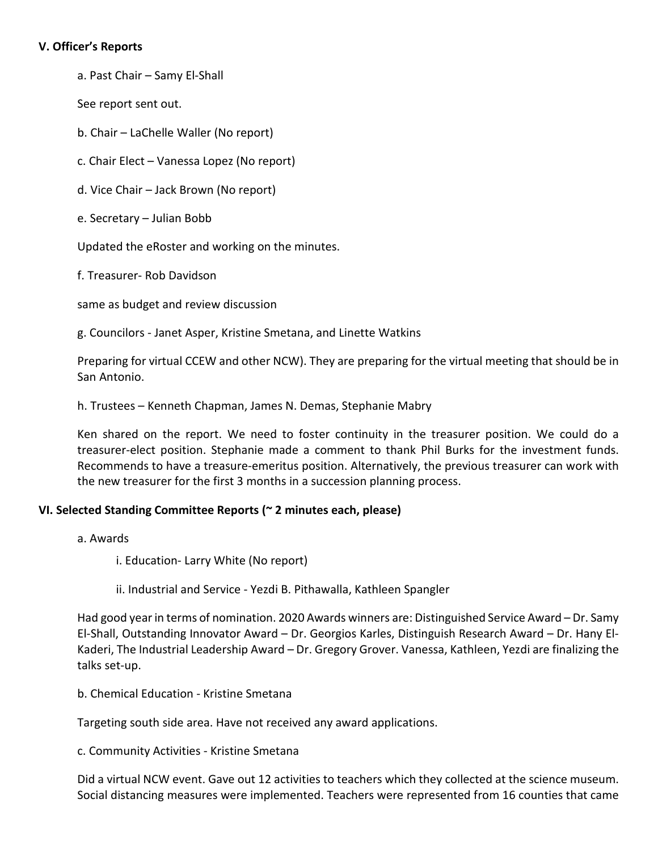## **V. Officer's Reports**

a. Past Chair – Samy El-Shall

See report sent out.

b. Chair – LaChelle Waller (No report)

c. Chair Elect – Vanessa Lopez (No report)

d. Vice Chair – Jack Brown (No report)

e. Secretary – Julian Bobb

Updated the eRoster and working on the minutes.

f. Treasurer- Rob Davidson

same as budget and review discussion

g. Councilors - Janet Asper, Kristine Smetana, and Linette Watkins

Preparing for virtual CCEW and other NCW). They are preparing for the virtual meeting that should be in San Antonio.

h. Trustees – Kenneth Chapman, James N. Demas, Stephanie Mabry

Ken shared on the report. We need to foster continuity in the treasurer position. We could do a treasurer-elect position. Stephanie made a comment to thank Phil Burks for the investment funds. Recommends to have a treasure-emeritus position. Alternatively, the previous treasurer can work with the new treasurer for the first 3 months in a succession planning process.

## **VI. Selected Standing Committee Reports (~ 2 minutes each, please)**

a. Awards

i. Education- Larry White (No report)

ii. Industrial and Service - Yezdi B. Pithawalla, Kathleen Spangler

Had good year in terms of nomination. 2020 Awards winners are: Distinguished Service Award – Dr. Samy El-Shall, Outstanding Innovator Award – Dr. Georgios Karles, Distinguish Research Award – Dr. Hany El-Kaderi, The Industrial Leadership Award – Dr. Gregory Grover. Vanessa, Kathleen, Yezdi are finalizing the talks set-up.

b. Chemical Education - Kristine Smetana

Targeting south side area. Have not received any award applications.

c. Community Activities - Kristine Smetana

Did a virtual NCW event. Gave out 12 activities to teachers which they collected at the science museum. Social distancing measures were implemented. Teachers were represented from 16 counties that came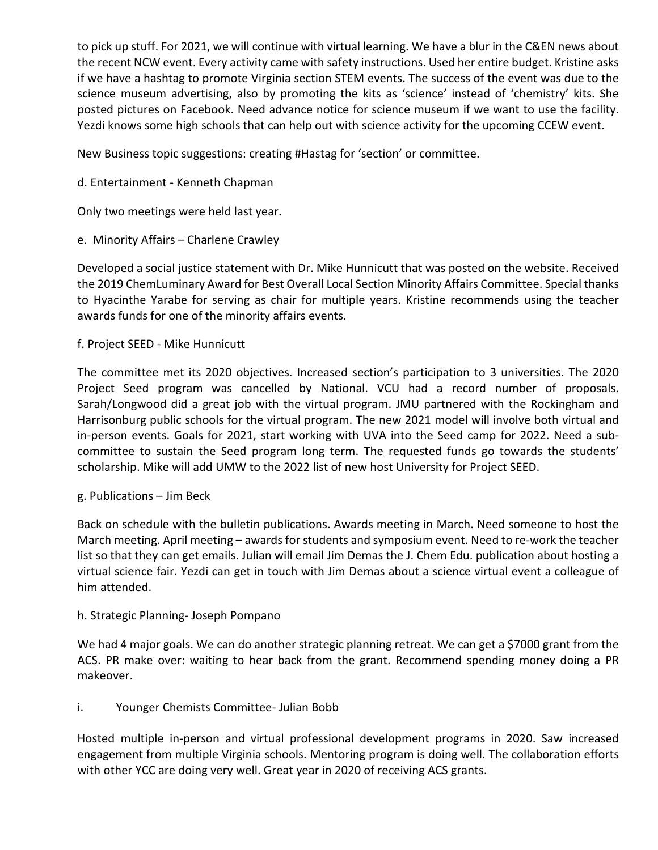to pick up stuff. For 2021, we will continue with virtual learning. We have a blur in the C&EN news about the recent NCW event. Every activity came with safety instructions. Used her entire budget. Kristine asks if we have a hashtag to promote Virginia section STEM events. The success of the event was due to the science museum advertising, also by promoting the kits as 'science' instead of 'chemistry' kits. She posted pictures on Facebook. Need advance notice for science museum if we want to use the facility. Yezdi knows some high schools that can help out with science activity for the upcoming CCEW event.

New Business topic suggestions: creating #Hastag for 'section' or committee.

d. Entertainment - Kenneth Chapman

Only two meetings were held last year.

e. Minority Affairs – Charlene Crawley

Developed a social justice statement with Dr. Mike Hunnicutt that was posted on the website. Received the 2019 ChemLuminary Award for Best Overall Local Section Minority Affairs Committee. Special thanks to Hyacinthe Yarabe for serving as chair for multiple years. Kristine recommends using the teacher awards funds for one of the minority affairs events.

f. Project SEED - Mike Hunnicutt

The committee met its 2020 objectives. Increased section's participation to 3 universities. The 2020 Project Seed program was cancelled by National. VCU had a record number of proposals. Sarah/Longwood did a great job with the virtual program. JMU partnered with the Rockingham and Harrisonburg public schools for the virtual program. The new 2021 model will involve both virtual and in-person events. Goals for 2021, start working with UVA into the Seed camp for 2022. Need a subcommittee to sustain the Seed program long term. The requested funds go towards the students' scholarship. Mike will add UMW to the 2022 list of new host University for Project SEED.

g. Publications – Jim Beck

Back on schedule with the bulletin publications. Awards meeting in March. Need someone to host the March meeting. April meeting – awards for students and symposium event. Need to re-work the teacher list so that they can get emails. Julian will email Jim Demas the J. Chem Edu. publication about hosting a virtual science fair. Yezdi can get in touch with Jim Demas about a science virtual event a colleague of him attended.

## h. Strategic Planning- Joseph Pompano

We had 4 major goals. We can do another strategic planning retreat. We can get a \$7000 grant from the ACS. PR make over: waiting to hear back from the grant. Recommend spending money doing a PR makeover.

## i. Younger Chemists Committee- Julian Bobb

Hosted multiple in-person and virtual professional development programs in 2020. Saw increased engagement from multiple Virginia schools. Mentoring program is doing well. The collaboration efforts with other YCC are doing very well. Great year in 2020 of receiving ACS grants.